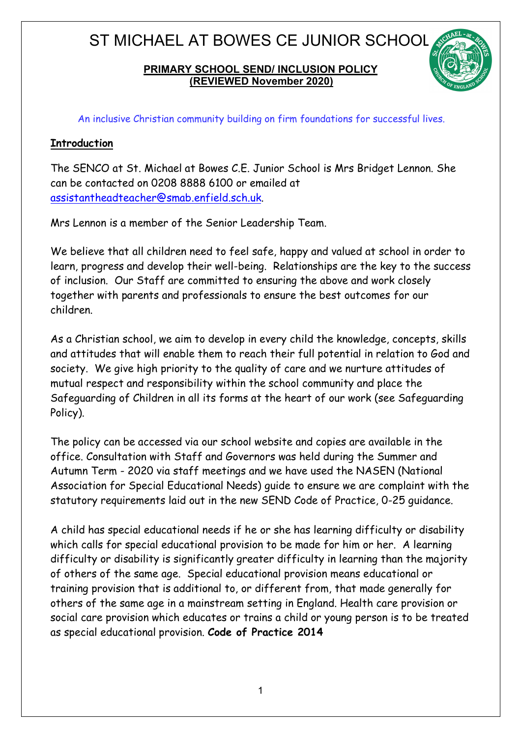#### **PRIMARY SCHOOL SEND/ INCLUSION POLICY (REVIEWED November 2020)**



An inclusive Christian community building on firm foundations for successful lives.

#### **Introduction**

The SENCO at St. Michael at Bowes C.E. Junior School is Mrs Bridget Lennon. She can be contacted on 0208 8888 6100 or emailed at assistantheadteacher@smab.enfield.sch.uk.

Mrs Lennon is a member of the Senior Leadership Team.

We believe that all children need to feel safe, happy and valued at school in order to learn, progress and develop their well-being. Relationships are the key to the success of inclusion. Our Staff are committed to ensuring the above and work closely together with parents and professionals to ensure the best outcomes for our children.

As a Christian school, we aim to develop in every child the knowledge, concepts, skills and attitudes that will enable them to reach their full potential in relation to God and society. We give high priority to the quality of care and we nurture attitudes of mutual respect and responsibility within the school community and place the Safeguarding of Children in all its forms at the heart of our work (see Safeguarding Policy).

The policy can be accessed via our school website and copies are available in the office. Consultation with Staff and Governors was held during the Summer and Autumn Term - 2020 via staff meetings and we have used the NASEN (National Association for Special Educational Needs) guide to ensure we are complaint with the statutory requirements laid out in the new SEND Code of Practice, 0-25 guidance.

A child has special educational needs if he or she has learning difficulty or disability which calls for special educational provision to be made for him or her. A learning difficulty or disability is significantly greater difficulty in learning than the majority of others of the same age. Special educational provision means educational or training provision that is additional to, or different from, that made generally for others of the same age in a mainstream setting in England. Health care provision or social care provision which educates or trains a child or young person is to be treated as special educational provision. **Code of Practice 2014**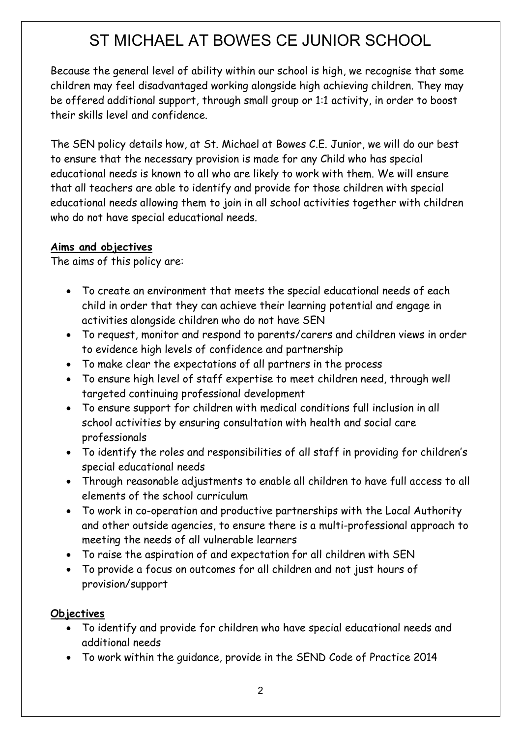Because the general level of ability within our school is high, we recognise that some children may feel disadvantaged working alongside high achieving children. They may be offered additional support, through small group or 1:1 activity, in order to boost their skills level and confidence.

The SEN policy details how, at St. Michael at Bowes C.E. Junior, we will do our best to ensure that the necessary provision is made for any Child who has special educational needs is known to all who are likely to work with them. We will ensure that all teachers are able to identify and provide for those children with special educational needs allowing them to join in all school activities together with children who do not have special educational needs.

### **Aims and objectives**

The aims of this policy are:

- To create an environment that meets the special educational needs of each child in order that they can achieve their learning potential and engage in activities alongside children who do not have SEN
- To request, monitor and respond to parents/carers and children views in order to evidence high levels of confidence and partnership
- To make clear the expectations of all partners in the process
- To ensure high level of staff expertise to meet children need, through well targeted continuing professional development
- To ensure support for children with medical conditions full inclusion in all school activities by ensuring consultation with health and social care professionals
- To identify the roles and responsibilities of all staff in providing for children's special educational needs
- Through reasonable adjustments to enable all children to have full access to all elements of the school curriculum
- To work in co-operation and productive partnerships with the Local Authority and other outside agencies, to ensure there is a multi-professional approach to meeting the needs of all vulnerable learners
- To raise the aspiration of and expectation for all children with SEN
- To provide a focus on outcomes for all children and not just hours of provision/support

### **Objectives**

- To identify and provide for children who have special educational needs and additional needs
- To work within the guidance, provide in the SEND Code of Practice 2014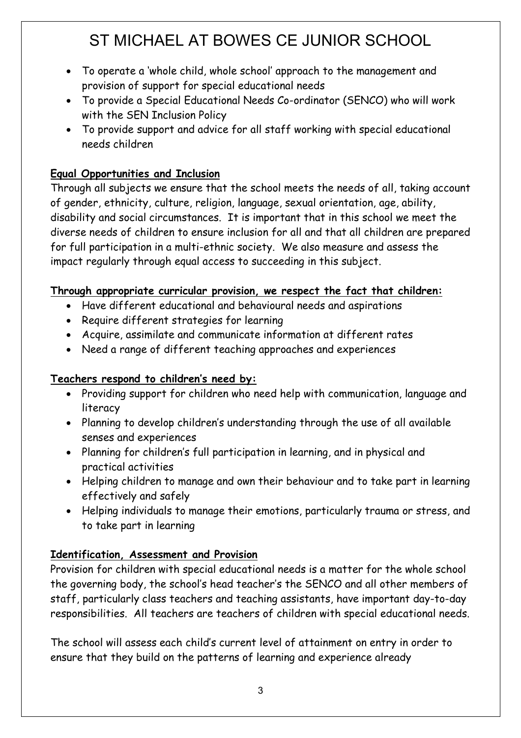- To operate a 'whole child, whole school' approach to the management and provision of support for special educational needs
- To provide a Special Educational Needs Co-ordinator (SENCO) who will work with the SEN Inclusion Policy
- To provide support and advice for all staff working with special educational needs children

### **Equal Opportunities and Inclusion**

Through all subjects we ensure that the school meets the needs of all, taking account of gender, ethnicity, culture, religion, language, sexual orientation, age, ability, disability and social circumstances. It is important that in this school we meet the diverse needs of children to ensure inclusion for all and that all children are prepared for full participation in a multi-ethnic society. We also measure and assess the impact regularly through equal access to succeeding in this subject.

### **Through appropriate curricular provision, we respect the fact that children:**

- Have different educational and behavioural needs and aspirations
- Require different strategies for learning
- Acquire, assimilate and communicate information at different rates
- Need a range of different teaching approaches and experiences

### **Teachers respond to children's need by:**

- Providing support for children who need help with communication, language and literacy
- Planning to develop children's understanding through the use of all available senses and experiences
- Planning for children's full participation in learning, and in physical and practical activities
- Helping children to manage and own their behaviour and to take part in learning effectively and safely
- Helping individuals to manage their emotions, particularly trauma or stress, and to take part in learning

### **Identification, Assessment and Provision**

Provision for children with special educational needs is a matter for the whole school the governing body, the school's head teacher's the SENCO and all other members of staff, particularly class teachers and teaching assistants, have important day-to-day responsibilities. All teachers are teachers of children with special educational needs.

The school will assess each child's current level of attainment on entry in order to ensure that they build on the patterns of learning and experience already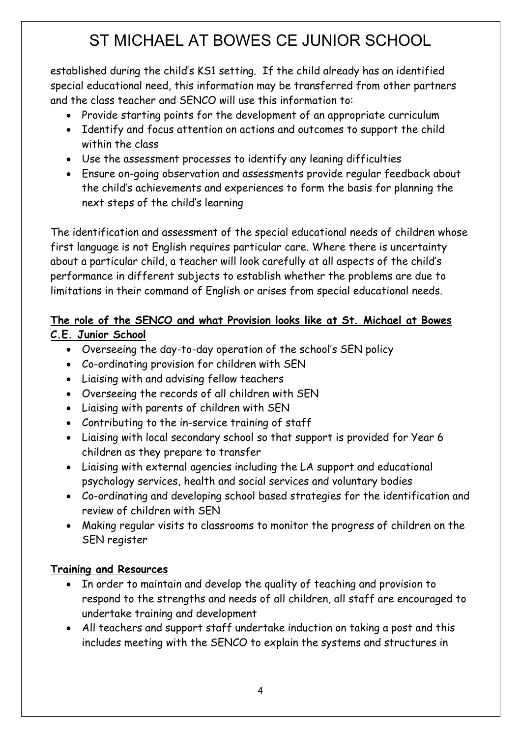established during the child's KS1 setting. If the child already has an identified special educational need, this information may be transferred from other partners and the class teacher and SENCO will use this information to:

- Provide starting points for the development of an appropriate curriculum
- Identify and focus attention on actions and outcomes to support the child within the class
- Use the assessment processes to identify any leaning difficulties
- Ensure on-going observation and assessments provide regular feedback about the child's achievements and experiences to form the basis for planning the next steps of the child's learning

The identification and assessment of the special educational needs of children whose first language is not English requires particular care. Where there is uncertainty about a particular child, a teacher will look carefully at all aspects of the child's performance in different subjects to establish whether the problems are due to limitations in their command of English or arises from special educational needs.

#### **The role of the SENCO and what Provision looks like at St. Michael at Bowes C.E. Junior School**

- Overseeing the day-to-day operation of the school's SEN policy
- Co-ordinating provision for children with SEN
- Liaising with and advising fellow teachers
- Overseeing the records of all children with SEN
- Liaising with parents of children with SEN
- Contributing to the in-service training of staff
- Liaising with local secondary school so that support is provided for Year 6 children as they prepare to transfer
- Liaising with external agencies including the LA support and educational psychology services, health and social services and voluntary bodies
- Co-ordinating and developing school based strategies for the identification and review of children with SEN
- Making regular visits to classrooms to monitor the progress of children on the SEN register

### **Training and Resources**

- In order to maintain and develop the quality of teaching and provision to respond to the strengths and needs of all children, all staff are encouraged to undertake training and development
- All teachers and support staff undertake induction on taking a post and this includes meeting with the SENCO to explain the systems and structures in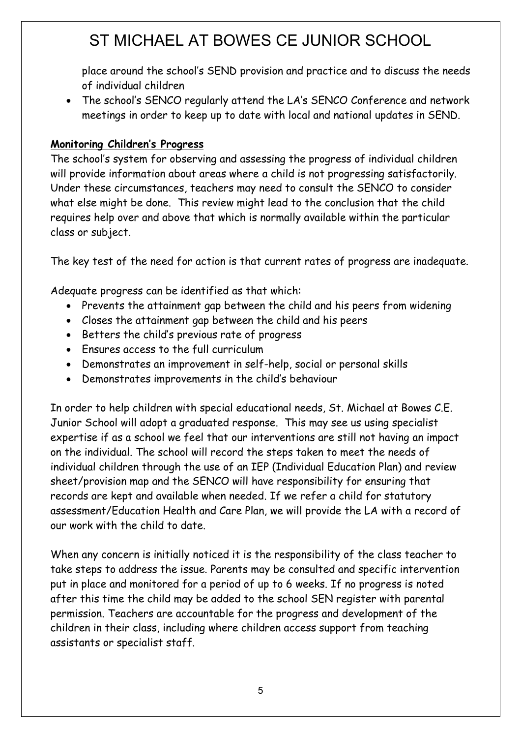place around the school's SEND provision and practice and to discuss the needs of individual children

• The school's SENCO regularly attend the LA's SENCO Conference and network meetings in order to keep up to date with local and national updates in SEND.

#### **Monitoring Children's Progress**

The school's system for observing and assessing the progress of individual children will provide information about areas where a child is not progressing satisfactorily. Under these circumstances, teachers may need to consult the SENCO to consider what else might be done. This review might lead to the conclusion that the child requires help over and above that which is normally available within the particular class or subject.

The key test of the need for action is that current rates of progress are inadequate.

Adequate progress can be identified as that which:

- Prevents the attainment gap between the child and his peers from widening
- Closes the attainment gap between the child and his peers
- Betters the child's previous rate of progress
- Ensures access to the full curriculum
- Demonstrates an improvement in self-help, social or personal skills
- Demonstrates improvements in the child's behaviour

In order to help children with special educational needs, St. Michael at Bowes C.E. Junior School will adopt a graduated response. This may see us using specialist expertise if as a school we feel that our interventions are still not having an impact on the individual. The school will record the steps taken to meet the needs of individual children through the use of an IEP (Individual Education Plan) and review sheet/provision map and the SENCO will have responsibility for ensuring that records are kept and available when needed. If we refer a child for statutory assessment/Education Health and Care Plan, we will provide the LA with a record of our work with the child to date.

When any concern is initially noticed it is the responsibility of the class teacher to take steps to address the issue. Parents may be consulted and specific intervention put in place and monitored for a period of up to 6 weeks. If no progress is noted after this time the child may be added to the school SEN register with parental permission. Teachers are accountable for the progress and development of the children in their class, including where children access support from teaching assistants or specialist staff.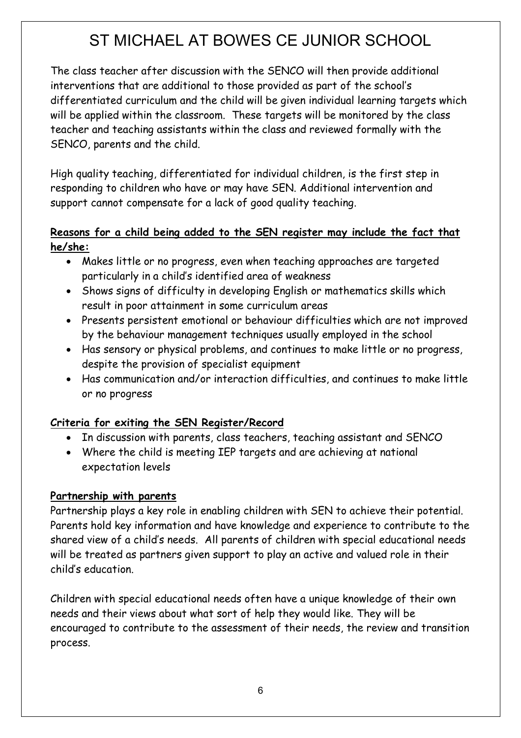The class teacher after discussion with the SENCO will then provide additional interventions that are additional to those provided as part of the school's differentiated curriculum and the child will be given individual learning targets which will be applied within the classroom. These targets will be monitored by the class teacher and teaching assistants within the class and reviewed formally with the SENCO, parents and the child.

High quality teaching, differentiated for individual children, is the first step in responding to children who have or may have SEN. Additional intervention and support cannot compensate for a lack of good quality teaching.

### **Reasons for a child being added to the SEN register may include the fact that he/she:**

- Makes little or no progress, even when teaching approaches are targeted particularly in a child's identified area of weakness
- Shows signs of difficulty in developing English or mathematics skills which result in poor attainment in some curriculum areas
- Presents persistent emotional or behaviour difficulties which are not improved by the behaviour management techniques usually employed in the school
- Has sensory or physical problems, and continues to make little or no progress, despite the provision of specialist equipment
- Has communication and/or interaction difficulties, and continues to make little or no progress

### **Criteria for exiting the SEN Register/Record**

- In discussion with parents, class teachers, teaching assistant and SENCO
- Where the child is meeting IEP targets and are achieving at national expectation levels

### **Partnership with parents**

Partnership plays a key role in enabling children with SEN to achieve their potential. Parents hold key information and have knowledge and experience to contribute to the shared view of a child's needs. All parents of children with special educational needs will be treated as partners given support to play an active and valued role in their child's education.

Children with special educational needs often have a unique knowledge of their own needs and their views about what sort of help they would like. They will be encouraged to contribute to the assessment of their needs, the review and transition process.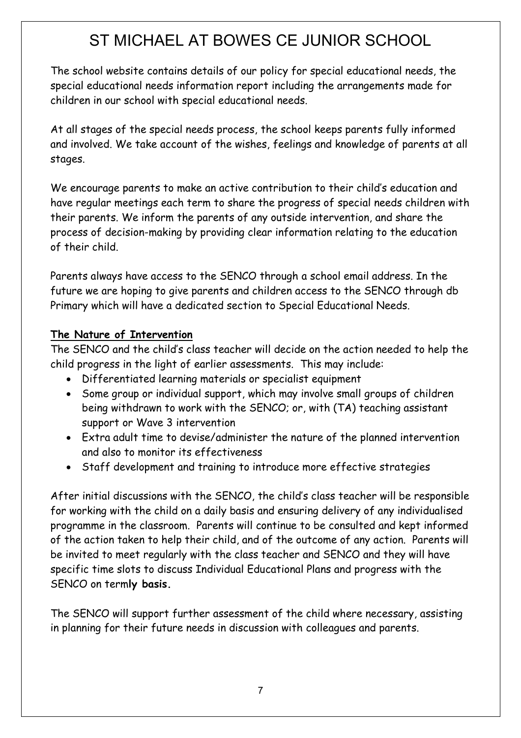The school website contains details of our policy for special educational needs, the special educational needs information report including the arrangements made for children in our school with special educational needs.

At all stages of the special needs process, the school keeps parents fully informed and involved. We take account of the wishes, feelings and knowledge of parents at all stages.

We encourage parents to make an active contribution to their child's education and have regular meetings each term to share the progress of special needs children with their parents. We inform the parents of any outside intervention, and share the process of decision-making by providing clear information relating to the education of their child.

Parents always have access to the SENCO through a school email address. In the future we are hoping to give parents and children access to the SENCO through db Primary which will have a dedicated section to Special Educational Needs.

### **The Nature of Intervention**

The SENCO and the child's class teacher will decide on the action needed to help the child progress in the light of earlier assessments. This may include:

- Differentiated learning materials or specialist equipment
- Some group or individual support, which may involve small groups of children being withdrawn to work with the SENCO; or, with (TA) teaching assistant support or Wave 3 intervention
- Extra adult time to devise/administer the nature of the planned intervention and also to monitor its effectiveness
- Staff development and training to introduce more effective strategies

After initial discussions with the SENCO, the child's class teacher will be responsible for working with the child on a daily basis and ensuring delivery of any individualised programme in the classroom. Parents will continue to be consulted and kept informed of the action taken to help their child, and of the outcome of any action. Parents will be invited to meet regularly with the class teacher and SENCO and they will have specific time slots to discuss Individual Educational Plans and progress with the SENCO on term**ly basis.**

The SENCO will support further assessment of the child where necessary, assisting in planning for their future needs in discussion with colleagues and parents.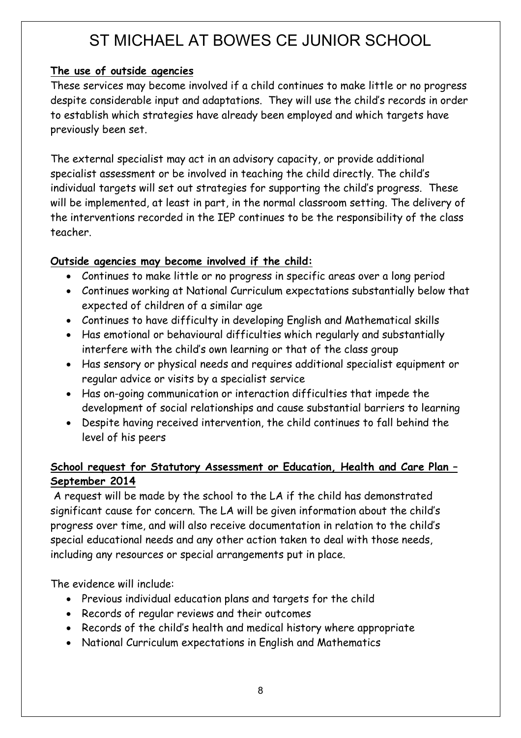### **The use of outside agencies**

These services may become involved if a child continues to make little or no progress despite considerable input and adaptations. They will use the child's records in order to establish which strategies have already been employed and which targets have previously been set.

The external specialist may act in an advisory capacity, or provide additional specialist assessment or be involved in teaching the child directly. The child's individual targets will set out strategies for supporting the child's progress. These will be implemented, at least in part, in the normal classroom setting. The delivery of the interventions recorded in the IEP continues to be the responsibility of the class teacher.

### **Outside agencies may become involved if the child:**

- Continues to make little or no progress in specific areas over a long period
- Continues working at National Curriculum expectations substantially below that expected of children of a similar age
- Continues to have difficulty in developing English and Mathematical skills
- Has emotional or behavioural difficulties which regularly and substantially interfere with the child's own learning or that of the class group
- Has sensory or physical needs and requires additional specialist equipment or regular advice or visits by a specialist service
- Has on-going communication or interaction difficulties that impede the development of social relationships and cause substantial barriers to learning
- Despite having received intervention, the child continues to fall behind the level of his peers

### **School request for Statutory Assessment or Education, Health and Care Plan – September 2014**

A request will be made by the school to the LA if the child has demonstrated significant cause for concern. The LA will be given information about the child's progress over time, and will also receive documentation in relation to the child's special educational needs and any other action taken to deal with those needs, including any resources or special arrangements put in place.

The evidence will include:

- Previous individual education plans and targets for the child
- Records of regular reviews and their outcomes
- Records of the child's health and medical history where appropriate
- National Curriculum expectations in English and Mathematics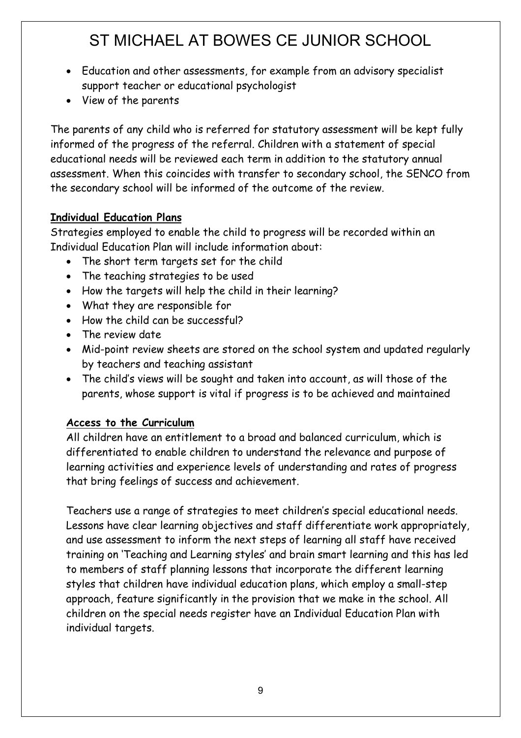- Education and other assessments, for example from an advisory specialist support teacher or educational psychologist
- View of the parents

The parents of any child who is referred for statutory assessment will be kept fully informed of the progress of the referral. Children with a statement of special educational needs will be reviewed each term in addition to the statutory annual assessment. When this coincides with transfer to secondary school, the SENCO from the secondary school will be informed of the outcome of the review.

### **Individual Education Plans**

Strategies employed to enable the child to progress will be recorded within an Individual Education Plan will include information about:

- The short term targets set for the child
- The teaching strategies to be used
- How the targets will help the child in their learning?
- What they are responsible for
- How the child can be successful?
- The review date
- Mid-point review sheets are stored on the school system and updated regularly by teachers and teaching assistant
- The child's views will be sought and taken into account, as will those of the parents, whose support is vital if progress is to be achieved and maintained

### **Access to the Curriculum**

All children have an entitlement to a broad and balanced curriculum, which is differentiated to enable children to understand the relevance and purpose of learning activities and experience levels of understanding and rates of progress that bring feelings of success and achievement.

Teachers use a range of strategies to meet children's special educational needs. Lessons have clear learning objectives and staff differentiate work appropriately, and use assessment to inform the next steps of learning all staff have received training on 'Teaching and Learning styles' and brain smart learning and this has led to members of staff planning lessons that incorporate the different learning styles that children have individual education plans, which employ a small-step approach, feature significantly in the provision that we make in the school. All children on the special needs register have an Individual Education Plan with individual targets.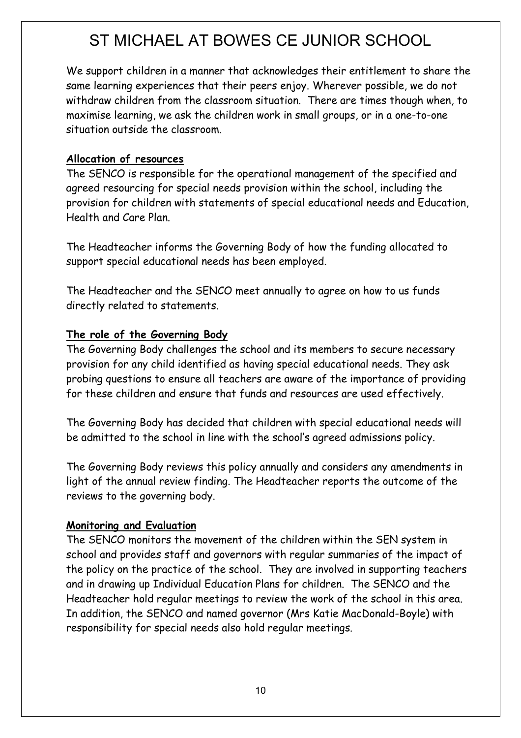We support children in a manner that acknowledges their entitlement to share the same learning experiences that their peers enjoy. Wherever possible, we do not withdraw children from the classroom situation. There are times though when, to maximise learning, we ask the children work in small groups, or in a one-to-one situation outside the classroom.

#### **Allocation of resources**

The SENCO is responsible for the operational management of the specified and agreed resourcing for special needs provision within the school, including the provision for children with statements of special educational needs and Education, Health and Care Plan.

The Headteacher informs the Governing Body of how the funding allocated to support special educational needs has been employed.

The Headteacher and the SENCO meet annually to agree on how to us funds directly related to statements.

#### **The role of the Governing Body**

The Governing Body challenges the school and its members to secure necessary provision for any child identified as having special educational needs. They ask probing questions to ensure all teachers are aware of the importance of providing for these children and ensure that funds and resources are used effectively.

The Governing Body has decided that children with special educational needs will be admitted to the school in line with the school's agreed admissions policy.

The Governing Body reviews this policy annually and considers any amendments in light of the annual review finding. The Headteacher reports the outcome of the reviews to the governing body.

#### **Monitoring and Evaluation**

The SENCO monitors the movement of the children within the SEN system in school and provides staff and governors with regular summaries of the impact of the policy on the practice of the school. They are involved in supporting teachers and in drawing up Individual Education Plans for children. The SENCO and the Headteacher hold regular meetings to review the work of the school in this area. In addition, the SENCO and named governor (Mrs Katie MacDonald-Boyle) with responsibility for special needs also hold regular meetings.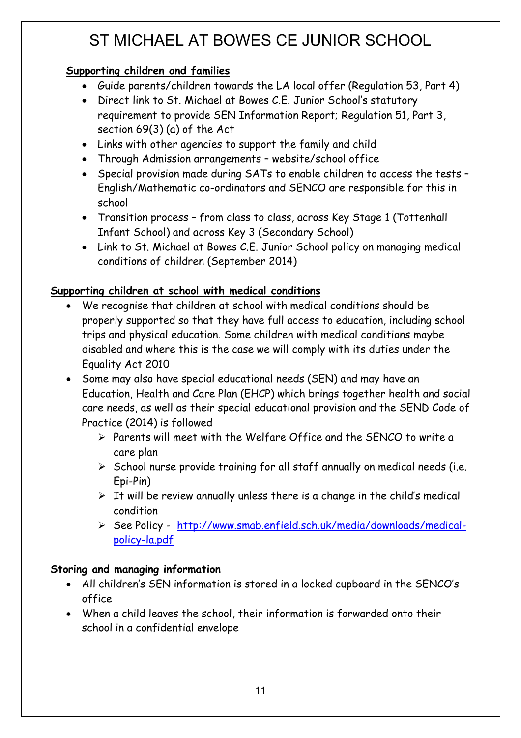### **Supporting children and families**

- Guide parents/children towards the LA local offer (Regulation 53, Part 4)
- Direct link to St. Michael at Bowes C.E. Junior School's statutory requirement to provide SEN Information Report; Regulation 51, Part 3, section 69(3) (a) of the Act
- Links with other agencies to support the family and child
- Through Admission arrangements website/school office
- Special provision made during SATs to enable children to access the tests English/Mathematic co-ordinators and SENCO are responsible for this in school
- Transition process from class to class, across Key Stage 1 (Tottenhall Infant School) and across Key 3 (Secondary School)
- Link to St. Michael at Bowes C.E. Junior School policy on managing medical conditions of children (September 2014)

### **Supporting children at school with medical conditions**

- We recognise that children at school with medical conditions should be properly supported so that they have full access to education, including school trips and physical education. Some children with medical conditions maybe disabled and where this is the case we will comply with its duties under the Equality Act 2010
- Some may also have special educational needs (SEN) and may have an Education, Health and Care Plan (EHCP) which brings together health and social care needs, as well as their special educational provision and the SEND Code of Practice (2014) is followed
	- $\triangleright$  Parents will meet with the Welfare Office and the SENCO to write a care plan
	- $\triangleright$  School nurse provide training for all staff annually on medical needs (i.e. Epi-Pin)
	- $\triangleright$  It will be review annually unless there is a change in the child's medical condition
	- Ø See Policy http://www.smab.enfield.sch.uk/media/downloads/medicalpolicy-la.pdf

### **Storing and managing information**

- All children's SEN information is stored in a locked cupboard in the SENCO's office
- When a child leaves the school, their information is forwarded onto their school in a confidential envelope